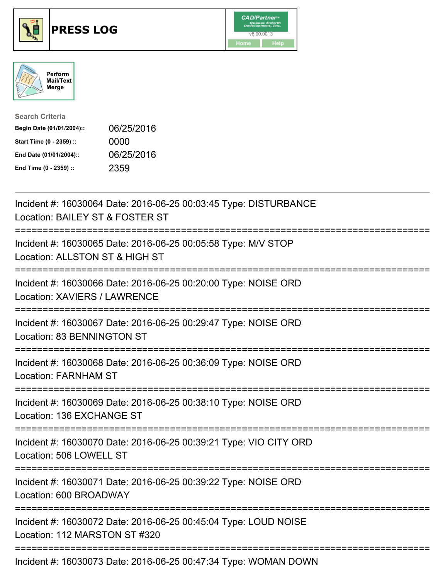





| <b>Search Criteria</b>    |            |
|---------------------------|------------|
| Begin Date (01/01/2004):: | 06/25/2016 |
| Start Time (0 - 2359) ::  | 0000       |
| End Date (01/01/2004)::   | 06/25/2016 |
| End Time (0 - 2359) ::    | 2359       |

| Incident #: 16030064 Date: 2016-06-25 00:03:45 Type: DISTURBANCE<br>Location: BAILEY ST & FOSTER ST                      |
|--------------------------------------------------------------------------------------------------------------------------|
| Incident #: 16030065 Date: 2016-06-25 00:05:58 Type: M/V STOP<br>Location: ALLSTON ST & HIGH ST                          |
| Incident #: 16030066 Date: 2016-06-25 00:20:00 Type: NOISE ORD<br>Location: XAVIERS / LAWRENCE                           |
| Incident #: 16030067 Date: 2016-06-25 00:29:47 Type: NOISE ORD<br>Location: 83 BENNINGTON ST<br>:=====================   |
| Incident #: 16030068 Date: 2016-06-25 00:36:09 Type: NOISE ORD<br><b>Location: FARNHAM ST</b>                            |
| Incident #: 16030069 Date: 2016-06-25 00:38:10 Type: NOISE ORD<br>Location: 136 EXCHANGE ST                              |
| :=======================<br>Incident #: 16030070 Date: 2016-06-25 00:39:21 Type: VIO CITY ORD<br>Location: 506 LOWELL ST |
| Incident #: 16030071 Date: 2016-06-25 00:39:22 Type: NOISE ORD<br>Location: 600 BROADWAY                                 |
| Incident #: 16030072 Date: 2016-06-25 00:45:04 Type: LOUD NOISE<br>Location: 112 MARSTON ST #320                         |
| Incident #: 16030073 Date: 2016-06-25 00:47:34 Type: WOMAN DOWN                                                          |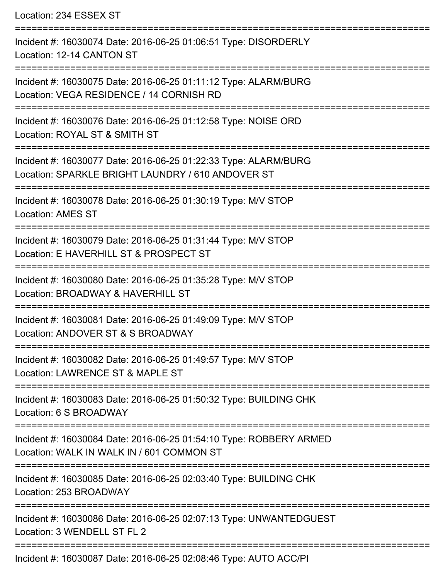Location: 234 ESSEX ST =========================================================================== Incident #: 16030074 Date: 2016-06-25 01:06:51 Type: DISORDERLY Location: 12-14 CANTON ST =========================================================================== Incident #: 16030075 Date: 2016-06-25 01:11:12 Type: ALARM/BURG Location: VEGA RESIDENCE / 14 CORNISH RD =========================================================================== Incident #: 16030076 Date: 2016-06-25 01:12:58 Type: NOISE ORD Location: ROYAL ST & SMITH ST =========================================================================== Incident #: 16030077 Date: 2016-06-25 01:22:33 Type: ALARM/BURG Location: SPARKLE BRIGHT LAUNDRY / 610 ANDOVER ST =========================================================================== Incident #: 16030078 Date: 2016-06-25 01:30:19 Type: M/V STOP Location: AMES ST =========================================================================== Incident #: 16030079 Date: 2016-06-25 01:31:44 Type: M/V STOP Location: E HAVERHILL ST & PROSPECT ST =========================================================================== Incident #: 16030080 Date: 2016-06-25 01:35:28 Type: M/V STOP Location: BROADWAY & HAVERHILL ST =========================================================================== Incident #: 16030081 Date: 2016-06-25 01:49:09 Type: M/V STOP Location: ANDOVER ST & S BROADWAY =========================================================================== Incident #: 16030082 Date: 2016-06-25 01:49:57 Type: M/V STOP Location: LAWRENCE ST & MAPLE ST =========================================================================== Incident #: 16030083 Date: 2016-06-25 01:50:32 Type: BUILDING CHK Location: 6 S BROADWAY =========================================================================== Incident #: 16030084 Date: 2016-06-25 01:54:10 Type: ROBBERY ARMED Location: WALK IN WALK IN / 601 COMMON ST =========================================================================== Incident #: 16030085 Date: 2016-06-25 02:03:40 Type: BUILDING CHK Location: 253 BROADWAY =========================================================================== Incident #: 16030086 Date: 2016-06-25 02:07:13 Type: UNWANTEDGUEST Location: 3 WENDELL ST FL 2 =========================================================================== Incident #: 16030087 Date: 2016-06-25 02:08:46 Type: AUTO ACC/PI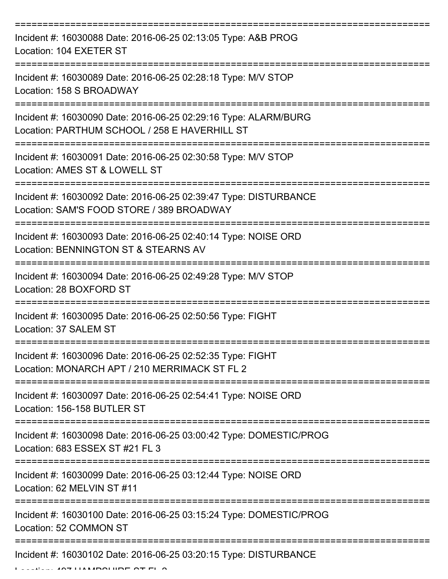| Incident #: 16030088 Date: 2016-06-25 02:13:05 Type: A&B PROG<br>Location: 104 EXETER ST                                             |
|--------------------------------------------------------------------------------------------------------------------------------------|
| Incident #: 16030089 Date: 2016-06-25 02:28:18 Type: M/V STOP<br>Location: 158 S BROADWAY                                            |
| Incident #: 16030090 Date: 2016-06-25 02:29:16 Type: ALARM/BURG<br>Location: PARTHUM SCHOOL / 258 E HAVERHILL ST                     |
| Incident #: 16030091 Date: 2016-06-25 02:30:58 Type: M/V STOP<br>Location: AMES ST & LOWELL ST                                       |
| Incident #: 16030092 Date: 2016-06-25 02:39:47 Type: DISTURBANCE<br>Location: SAM'S FOOD STORE / 389 BROADWAY<br>=================== |
| Incident #: 16030093 Date: 2016-06-25 02:40:14 Type: NOISE ORD<br>Location: BENNINGTON ST & STEARNS AV                               |
| Incident #: 16030094 Date: 2016-06-25 02:49:28 Type: M/V STOP<br>Location: 28 BOXFORD ST                                             |
| Incident #: 16030095 Date: 2016-06-25 02:50:56 Type: FIGHT<br>Location: 37 SALEM ST                                                  |
| Incident #: 16030096 Date: 2016-06-25 02:52:35 Type: FIGHT<br>Location: MONARCH APT / 210 MERRIMACK ST FL 2                          |
| Incident #: 16030097 Date: 2016-06-25 02:54:41 Type: NOISE ORD<br>Location: 156-158 BUTLER ST                                        |
| Incident #: 16030098 Date: 2016-06-25 03:00:42 Type: DOMESTIC/PROG<br>Location: 683 ESSEX ST #21 FL 3                                |
| Incident #: 16030099 Date: 2016-06-25 03:12:44 Type: NOISE ORD<br>Location: 62 MELVIN ST #11                                         |
| Incident #: 16030100 Date: 2016-06-25 03:15:24 Type: DOMESTIC/PROG<br>Location: 52 COMMON ST                                         |
| Incident #: 16030102 Date: 2016-06-25 03:20:15 Type: DISTURBANCE<br>$\blacksquare$                                                   |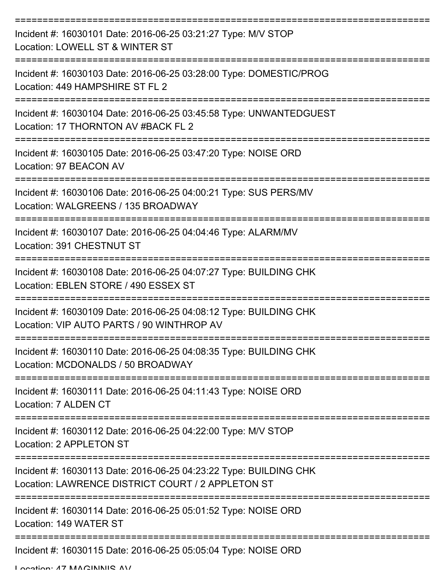| Incident #: 16030101 Date: 2016-06-25 03:21:27 Type: M/V STOP<br>Location: LOWELL ST & WINTER ST                       |
|------------------------------------------------------------------------------------------------------------------------|
| Incident #: 16030103 Date: 2016-06-25 03:28:00 Type: DOMESTIC/PROG<br>Location: 449 HAMPSHIRE ST FL 2                  |
| Incident #: 16030104 Date: 2016-06-25 03:45:58 Type: UNWANTEDGUEST<br>Location: 17 THORNTON AV #BACK FL 2              |
| Incident #: 16030105 Date: 2016-06-25 03:47:20 Type: NOISE ORD<br>Location: 97 BEACON AV                               |
| Incident #: 16030106 Date: 2016-06-25 04:00:21 Type: SUS PERS/MV<br>Location: WALGREENS / 135 BROADWAY                 |
| Incident #: 16030107 Date: 2016-06-25 04:04:46 Type: ALARM/MV<br>Location: 391 CHESTNUT ST                             |
| Incident #: 16030108 Date: 2016-06-25 04:07:27 Type: BUILDING CHK<br>Location: EBLEN STORE / 490 ESSEX ST              |
| Incident #: 16030109 Date: 2016-06-25 04:08:12 Type: BUILDING CHK<br>Location: VIP AUTO PARTS / 90 WINTHROP AV         |
| Incident #: 16030110 Date: 2016-06-25 04:08:35 Type: BUILDING CHK<br>Location: MCDONALDS / 50 BROADWAY                 |
| Incident #: 16030111 Date: 2016-06-25 04:11:43 Type: NOISE ORD<br>Location: 7 ALDEN CT                                 |
| Incident #: 16030112 Date: 2016-06-25 04:22:00 Type: M/V STOP<br>Location: 2 APPLETON ST                               |
| Incident #: 16030113 Date: 2016-06-25 04:23:22 Type: BUILDING CHK<br>Location: LAWRENCE DISTRICT COURT / 2 APPLETON ST |
| Incident #: 16030114 Date: 2016-06-25 05:01:52 Type: NOISE ORD<br>Location: 149 WATER ST                               |
| Incident #: 16030115 Date: 2016-06-25 05:05:04 Type: NOISE ORD                                                         |

Location: 47 MAGINNIS AV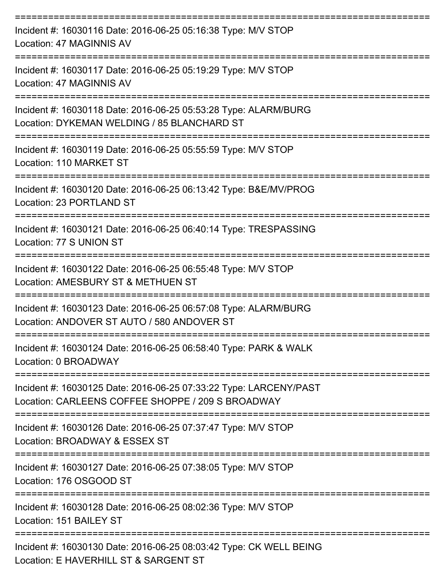| Incident #: 16030116 Date: 2016-06-25 05:16:38 Type: M/V STOP<br>Location: 47 MAGINNIS AV                                                         |
|---------------------------------------------------------------------------------------------------------------------------------------------------|
| Incident #: 16030117 Date: 2016-06-25 05:19:29 Type: M/V STOP<br>Location: 47 MAGINNIS AV                                                         |
| Incident #: 16030118 Date: 2016-06-25 05:53:28 Type: ALARM/BURG<br>Location: DYKEMAN WELDING / 85 BLANCHARD ST<br>=============================== |
| Incident #: 16030119 Date: 2016-06-25 05:55:59 Type: M/V STOP<br>Location: 110 MARKET ST                                                          |
| Incident #: 16030120 Date: 2016-06-25 06:13:42 Type: B&E/MV/PROG<br>Location: 23 PORTLAND ST                                                      |
| Incident #: 16030121 Date: 2016-06-25 06:40:14 Type: TRESPASSING<br>Location: 77 S UNION ST                                                       |
| Incident #: 16030122 Date: 2016-06-25 06:55:48 Type: M/V STOP<br>Location: AMESBURY ST & METHUEN ST                                               |
| Incident #: 16030123 Date: 2016-06-25 06:57:08 Type: ALARM/BURG<br>Location: ANDOVER ST AUTO / 580 ANDOVER ST                                     |
| Incident #: 16030124 Date: 2016-06-25 06:58:40 Type: PARK & WALK<br>Location: 0 BROADWAY                                                          |
| Incident #: 16030125 Date: 2016-06-25 07:33:22 Type: LARCENY/PAST<br>Location: CARLEENS COFFEE SHOPPE / 209 S BROADWAY                            |
| Incident #: 16030126 Date: 2016-06-25 07:37:47 Type: M/V STOP<br>Location: BROADWAY & ESSEX ST                                                    |
| Incident #: 16030127 Date: 2016-06-25 07:38:05 Type: M/V STOP<br>Location: 176 OSGOOD ST                                                          |
| Incident #: 16030128 Date: 2016-06-25 08:02:36 Type: M/V STOP<br>Location: 151 BAILEY ST                                                          |
| Incident #: 16030130 Date: 2016-06-25 08:03:42 Type: CK WELL BEING<br>Location: E HAVERHILL ST & SARGENT ST                                       |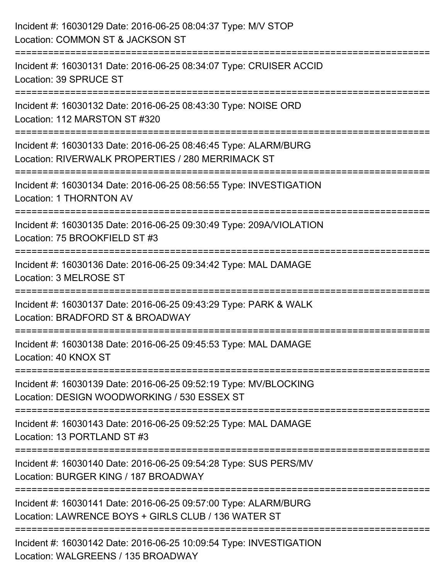| Incident #: 16030129 Date: 2016-06-25 08:04:37 Type: M/V STOP<br>Location: COMMON ST & JACKSON ST                                             |
|-----------------------------------------------------------------------------------------------------------------------------------------------|
| Incident #: 16030131 Date: 2016-06-25 08:34:07 Type: CRUISER ACCID<br>Location: 39 SPRUCE ST                                                  |
| Incident #: 16030132 Date: 2016-06-25 08:43:30 Type: NOISE ORD<br>Location: 112 MARSTON ST #320                                               |
| Incident #: 16030133 Date: 2016-06-25 08:46:45 Type: ALARM/BURG<br>Location: RIVERWALK PROPERTIES / 280 MERRIMACK ST<br>--------------------- |
| Incident #: 16030134 Date: 2016-06-25 08:56:55 Type: INVESTIGATION<br>Location: 1 THORNTON AV                                                 |
| Incident #: 16030135 Date: 2016-06-25 09:30:49 Type: 209A/VIOLATION<br>Location: 75 BROOKFIELD ST #3                                          |
| Incident #: 16030136 Date: 2016-06-25 09:34:42 Type: MAL DAMAGE<br>Location: 3 MELROSE ST                                                     |
| Incident #: 16030137 Date: 2016-06-25 09:43:29 Type: PARK & WALK<br>Location: BRADFORD ST & BROADWAY                                          |
| Incident #: 16030138 Date: 2016-06-25 09:45:53 Type: MAL DAMAGE<br>Location: 40 KNOX ST                                                       |
| Incident #: 16030139 Date: 2016-06-25 09:52:19 Type: MV/BLOCKING<br>Location: DESIGN WOODWORKING / 530 ESSEX ST                               |
| Incident #: 16030143 Date: 2016-06-25 09:52:25 Type: MAL DAMAGE<br>Location: 13 PORTLAND ST #3                                                |
| Incident #: 16030140 Date: 2016-06-25 09:54:28 Type: SUS PERS/MV<br>Location: BURGER KING / 187 BROADWAY                                      |
| Incident #: 16030141 Date: 2016-06-25 09:57:00 Type: ALARM/BURG<br>Location: LAWRENCE BOYS + GIRLS CLUB / 136 WATER ST                        |
| Incident #: 16030142 Date: 2016-06-25 10:09:54 Type: INVESTIGATION<br>Location: WALGREENS / 135 BROADWAY                                      |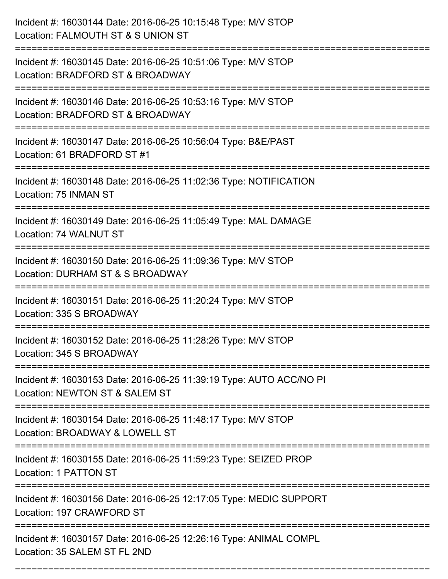| Incident #: 16030144 Date: 2016-06-25 10:15:48 Type: M/V STOP<br>Location: FALMOUTH ST & S UNION ST                                            |
|------------------------------------------------------------------------------------------------------------------------------------------------|
| Incident #: 16030145 Date: 2016-06-25 10:51:06 Type: M/V STOP<br>Location: BRADFORD ST & BROADWAY                                              |
| Incident #: 16030146 Date: 2016-06-25 10:53:16 Type: M/V STOP<br>Location: BRADFORD ST & BROADWAY<br>:======================                   |
| Incident #: 16030147 Date: 2016-06-25 10:56:04 Type: B&E/PAST<br>Location: 61 BRADFORD ST #1                                                   |
| Incident #: 16030148 Date: 2016-06-25 11:02:36 Type: NOTIFICATION<br>Location: 75 INMAN ST                                                     |
| Incident #: 16030149 Date: 2016-06-25 11:05:49 Type: MAL DAMAGE<br>Location: 74 WALNUT ST                                                      |
| Incident #: 16030150 Date: 2016-06-25 11:09:36 Type: M/V STOP<br>Location: DURHAM ST & S BROADWAY                                              |
| Incident #: 16030151 Date: 2016-06-25 11:20:24 Type: M/V STOP<br>Location: 335 S BROADWAY                                                      |
| Incident #: 16030152 Date: 2016-06-25 11:28:26 Type: M/V STOP<br>Location: 345 S BROADWAY                                                      |
| Incident #: 16030153 Date: 2016-06-25 11:39:19 Type: AUTO ACC/NO PI<br>Location: NEWTON ST & SALEM ST<br>===================================== |
| Incident #: 16030154 Date: 2016-06-25 11:48:17 Type: M/V STOP<br>Location: BROADWAY & LOWELL ST                                                |
| Incident #: 16030155 Date: 2016-06-25 11:59:23 Type: SEIZED PROP<br>Location: 1 PATTON ST                                                      |
| Incident #: 16030156 Date: 2016-06-25 12:17:05 Type: MEDIC SUPPORT<br>Location: 197 CRAWFORD ST                                                |
| Incident #: 16030157 Date: 2016-06-25 12:26:16 Type: ANIMAL COMPL<br>Location: 35 SALEM ST FL 2ND                                              |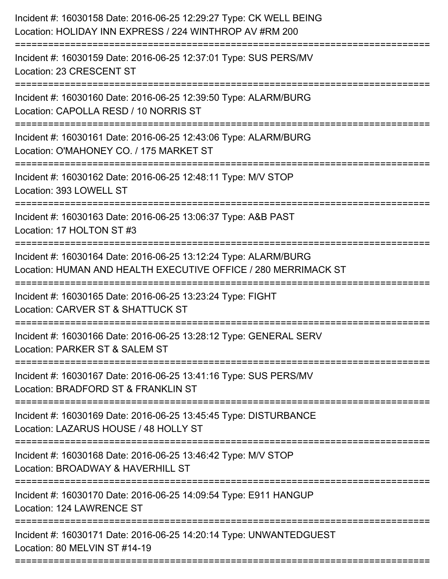| Incident #: 16030158 Date: 2016-06-25 12:29:27 Type: CK WELL BEING<br>Location: HOLIDAY INN EXPRESS / 224 WINTHROP AV #RM 200                        |
|------------------------------------------------------------------------------------------------------------------------------------------------------|
| Incident #: 16030159 Date: 2016-06-25 12:37:01 Type: SUS PERS/MV<br>Location: 23 CRESCENT ST                                                         |
| Incident #: 16030160 Date: 2016-06-25 12:39:50 Type: ALARM/BURG<br>Location: CAPOLLA RESD / 10 NORRIS ST                                             |
| Incident #: 16030161 Date: 2016-06-25 12:43:06 Type: ALARM/BURG<br>Location: O'MAHONEY CO. / 175 MARKET ST                                           |
| Incident #: 16030162 Date: 2016-06-25 12:48:11 Type: M/V STOP<br>Location: 393 LOWELL ST                                                             |
| Incident #: 16030163 Date: 2016-06-25 13:06:37 Type: A&B PAST<br>Location: 17 HOLTON ST #3                                                           |
| Incident #: 16030164 Date: 2016-06-25 13:12:24 Type: ALARM/BURG<br>Location: HUMAN AND HEALTH EXECUTIVE OFFICE / 280 MERRIMACK ST<br>=============== |
| Incident #: 16030165 Date: 2016-06-25 13:23:24 Type: FIGHT<br>Location: CARVER ST & SHATTUCK ST                                                      |
| Incident #: 16030166 Date: 2016-06-25 13:28:12 Type: GENERAL SERV<br>Location: PARKER ST & SALEM ST                                                  |
| Incident #: 16030167 Date: 2016-06-25 13:41:16 Type: SUS PERS/MV<br>Location: BRADFORD ST & FRANKLIN ST                                              |
| Incident #: 16030169 Date: 2016-06-25 13:45:45 Type: DISTURBANCE<br>Location: LAZARUS HOUSE / 48 HOLLY ST                                            |
| Incident #: 16030168 Date: 2016-06-25 13:46:42 Type: M/V STOP<br>Location: BROADWAY & HAVERHILL ST                                                   |
| Incident #: 16030170 Date: 2016-06-25 14:09:54 Type: E911 HANGUP<br>Location: 124 LAWRENCE ST                                                        |
| Incident #: 16030171 Date: 2016-06-25 14:20:14 Type: UNWANTEDGUEST<br>Location: 80 MELVIN ST #14-19                                                  |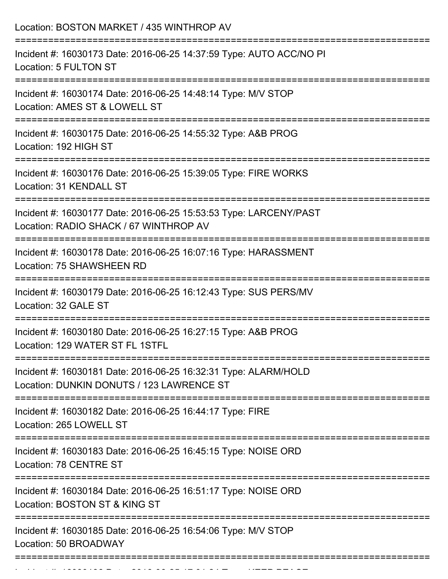| Location: BOSTON MARKET / 435 WINTHROP AV                                                                                 |
|---------------------------------------------------------------------------------------------------------------------------|
| Incident #: 16030173 Date: 2016-06-25 14:37:59 Type: AUTO ACC/NO PI<br>Location: 5 FULTON ST                              |
| Incident #: 16030174 Date: 2016-06-25 14:48:14 Type: M/V STOP<br>Location: AMES ST & LOWELL ST<br>----------------------- |
| Incident #: 16030175 Date: 2016-06-25 14:55:32 Type: A&B PROG<br>Location: 192 HIGH ST                                    |
| Incident #: 16030176 Date: 2016-06-25 15:39:05 Type: FIRE WORKS<br>Location: 31 KENDALL ST                                |
| Incident #: 16030177 Date: 2016-06-25 15:53:53 Type: LARCENY/PAST<br>Location: RADIO SHACK / 67 WINTHROP AV               |
| Incident #: 16030178 Date: 2016-06-25 16:07:16 Type: HARASSMENT<br>Location: 75 SHAWSHEEN RD                              |
| Incident #: 16030179 Date: 2016-06-25 16:12:43 Type: SUS PERS/MV<br>Location: 32 GALE ST                                  |
| Incident #: 16030180 Date: 2016-06-25 16:27:15 Type: A&B PROG<br>Location: 129 WATER ST FL 1STFL                          |
| Incident #: 16030181 Date: 2016-06-25 16:32:31 Type: ALARM/HOLD<br>Location: DUNKIN DONUTS / 123 LAWRENCE ST              |
| Incident #: 16030182 Date: 2016-06-25 16:44:17 Type: FIRE<br>Location: 265 LOWELL ST                                      |
| Incident #: 16030183 Date: 2016-06-25 16:45:15 Type: NOISE ORD<br>Location: 78 CENTRE ST                                  |
| Incident #: 16030184 Date: 2016-06-25 16:51:17 Type: NOISE ORD<br>Location: BOSTON ST & KING ST                           |
| Incident #: 16030185 Date: 2016-06-25 16:54:06 Type: M/V STOP<br>Location: 50 BROADWAY                                    |

Incident #: 16030186 Date: 2016 06 25 17:01:24 Type: 2016 07:01:24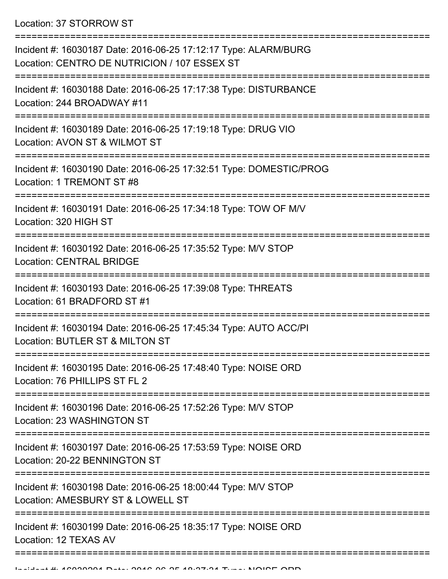Location: 37 STORROW ST

| Incident #: 16030187 Date: 2016-06-25 17:12:17 Type: ALARM/BURG<br>Location: CENTRO DE NUTRICION / 107 ESSEX ST                           |
|-------------------------------------------------------------------------------------------------------------------------------------------|
| ------------------<br>Incident #: 16030188 Date: 2016-06-25 17:17:38 Type: DISTURBANCE<br>Location: 244 BROADWAY #11<br>================= |
| Incident #: 16030189 Date: 2016-06-25 17:19:18 Type: DRUG VIO<br>Location: AVON ST & WILMOT ST                                            |
| Incident #: 16030190 Date: 2016-06-25 17:32:51 Type: DOMESTIC/PROG<br>Location: 1 TREMONT ST #8                                           |
| Incident #: 16030191 Date: 2016-06-25 17:34:18 Type: TOW OF M/V<br>Location: 320 HIGH ST                                                  |
| Incident #: 16030192 Date: 2016-06-25 17:35:52 Type: M/V STOP<br><b>Location: CENTRAL BRIDGE</b>                                          |
| Incident #: 16030193 Date: 2016-06-25 17:39:08 Type: THREATS<br>Location: 61 BRADFORD ST #1                                               |
| Incident #: 16030194 Date: 2016-06-25 17:45:34 Type: AUTO ACC/PI<br>Location: BUTLER ST & MILTON ST                                       |
| Incident #: 16030195 Date: 2016-06-25 17:48:40 Type: NOISE ORD<br>Location: 76 PHILLIPS ST FL 2                                           |
| Incident #: 16030196 Date: 2016-06-25 17:52:26 Type: M/V STOP<br>Location: 23 WASHINGTON ST                                               |
| Incident #: 16030197 Date: 2016-06-25 17:53:59 Type: NOISE ORD<br>Location: 20-22 BENNINGTON ST                                           |
| Incident #: 16030198 Date: 2016-06-25 18:00:44 Type: M/V STOP<br>Location: AMESBURY ST & LOWELL ST                                        |
| Incident #: 16030199 Date: 2016-06-25 18:35:17 Type: NOISE ORD<br>Location: 12 TEXAS AV                                                   |
|                                                                                                                                           |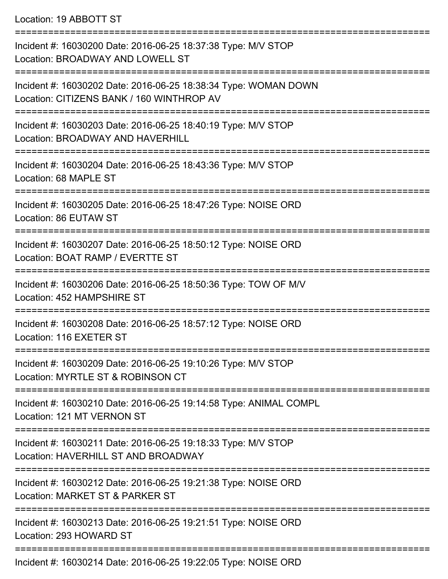## Location: 19 ABBOTT ST

| Incident #: 16030200 Date: 2016-06-25 18:37:38 Type: M/V STOP<br>Location: BROADWAY AND LOWELL ST            |
|--------------------------------------------------------------------------------------------------------------|
| Incident #: 16030202 Date: 2016-06-25 18:38:34 Type: WOMAN DOWN<br>Location: CITIZENS BANK / 160 WINTHROP AV |
| Incident #: 16030203 Date: 2016-06-25 18:40:19 Type: M/V STOP<br>Location: BROADWAY AND HAVERHILL            |
| Incident #: 16030204 Date: 2016-06-25 18:43:36 Type: M/V STOP<br>Location: 68 MAPLE ST                       |
| Incident #: 16030205 Date: 2016-06-25 18:47:26 Type: NOISE ORD<br>Location: 86 EUTAW ST                      |
| Incident #: 16030207 Date: 2016-06-25 18:50:12 Type: NOISE ORD<br>Location: BOAT RAMP / EVERTTE ST           |
| Incident #: 16030206 Date: 2016-06-25 18:50:36 Type: TOW OF M/V<br>Location: 452 HAMPSHIRE ST                |
| Incident #: 16030208 Date: 2016-06-25 18:57:12 Type: NOISE ORD<br>Location: 116 EXETER ST                    |
| Incident #: 16030209 Date: 2016-06-25 19:10:26 Type: M/V STOP<br>Location: MYRTLE ST & ROBINSON CT           |
| Incident #: 16030210 Date: 2016-06-25 19:14:58 Type: ANIMAL COMPL<br>Location: 121 MT VERNON ST              |
| Incident #: 16030211 Date: 2016-06-25 19:18:33 Type: M/V STOP<br>Location: HAVERHILL ST AND BROADWAY         |
| Incident #: 16030212 Date: 2016-06-25 19:21:38 Type: NOISE ORD<br>Location: MARKET ST & PARKER ST            |
| Incident #: 16030213 Date: 2016-06-25 19:21:51 Type: NOISE ORD<br>Location: 293 HOWARD ST                    |
|                                                                                                              |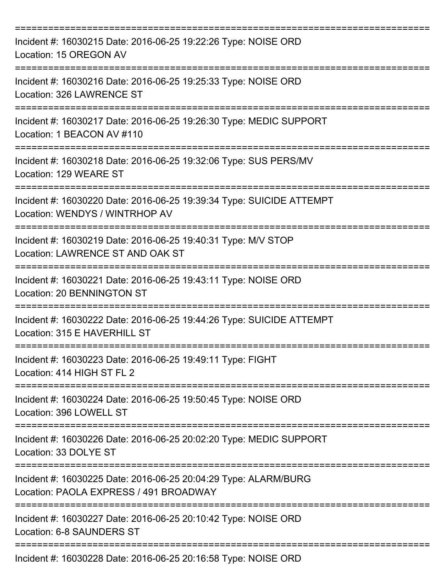| Incident #: 16030215 Date: 2016-06-25 19:22:26 Type: NOISE ORD<br>Location: 15 OREGON AV                      |
|---------------------------------------------------------------------------------------------------------------|
| Incident #: 16030216 Date: 2016-06-25 19:25:33 Type: NOISE ORD<br>Location: 326 LAWRENCE ST                   |
| Incident #: 16030217 Date: 2016-06-25 19:26:30 Type: MEDIC SUPPORT<br>Location: 1 BEACON AV #110              |
| Incident #: 16030218 Date: 2016-06-25 19:32:06 Type: SUS PERS/MV<br>Location: 129 WEARE ST                    |
| Incident #: 16030220 Date: 2016-06-25 19:39:34 Type: SUICIDE ATTEMPT<br>Location: WENDYS / WINTRHOP AV        |
| Incident #: 16030219 Date: 2016-06-25 19:40:31 Type: M/V STOP<br>Location: LAWRENCE ST AND OAK ST             |
| Incident #: 16030221 Date: 2016-06-25 19:43:11 Type: NOISE ORD<br>Location: 20 BENNINGTON ST                  |
| Incident #: 16030222 Date: 2016-06-25 19:44:26 Type: SUICIDE ATTEMPT<br>Location: 315 E HAVERHILL ST          |
| Incident #: 16030223 Date: 2016-06-25 19:49:11 Type: FIGHT<br>Location: 414 HIGH ST FL 2                      |
| ================<br>Incident #: 16030224 Date: 2016-06-25 19:50:45 Type: NOISE ORD<br>Location: 396 LOWELL ST |
| Incident #: 16030226 Date: 2016-06-25 20:02:20 Type: MEDIC SUPPORT<br>Location: 33 DOLYE ST                   |
| Incident #: 16030225 Date: 2016-06-25 20:04:29 Type: ALARM/BURG<br>Location: PAOLA EXPRESS / 491 BROADWAY     |
| Incident #: 16030227 Date: 2016-06-25 20:10:42 Type: NOISE ORD<br>Location: 6-8 SAUNDERS ST                   |
| Incident #: 16030228 Date: 2016-06-25 20:16:58 Type: NOISE ORD                                                |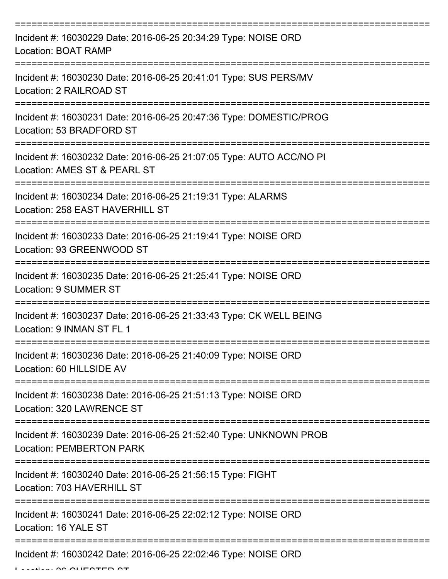| Incident #: 16030229 Date: 2016-06-25 20:34:29 Type: NOISE ORD<br><b>Location: BOAT RAMP</b>                   |
|----------------------------------------------------------------------------------------------------------------|
| Incident #: 16030230 Date: 2016-06-25 20:41:01 Type: SUS PERS/MV<br>Location: 2 RAILROAD ST                    |
| Incident #: 16030231 Date: 2016-06-25 20:47:36 Type: DOMESTIC/PROG<br>Location: 53 BRADFORD ST                 |
| Incident #: 16030232 Date: 2016-06-25 21:07:05 Type: AUTO ACC/NO PI<br>Location: AMES ST & PEARL ST            |
| Incident #: 16030234 Date: 2016-06-25 21:19:31 Type: ALARMS<br>Location: 258 EAST HAVERHILL ST                 |
| Incident #: 16030233 Date: 2016-06-25 21:19:41 Type: NOISE ORD<br>Location: 93 GREENWOOD ST                    |
| Incident #: 16030235 Date: 2016-06-25 21:25:41 Type: NOISE ORD<br>Location: 9 SUMMER ST                        |
| Incident #: 16030237 Date: 2016-06-25 21:33:43 Type: CK WELL BEING<br>Location: 9 INMAN ST FL 1                |
| Incident #: 16030236 Date: 2016-06-25 21:40:09 Type: NOISE ORD<br>Location: 60 HILLSIDE AV                     |
| ===============<br>Incident #: 16030238 Date: 2016-06-25 21:51:13 Type: NOISE ORD<br>Location: 320 LAWRENCE ST |
| Incident #: 16030239 Date: 2016-06-25 21:52:40 Type: UNKNOWN PROB<br><b>Location: PEMBERTON PARK</b>           |
| Incident #: 16030240 Date: 2016-06-25 21:56:15 Type: FIGHT<br>Location: 703 HAVERHILL ST                       |
| Incident #: 16030241 Date: 2016-06-25 22:02:12 Type: NOISE ORD<br>Location: 16 YALE ST                         |
| Incident #: 16030242 Date: 2016-06-25 22:02:46 Type: NOISE ORD                                                 |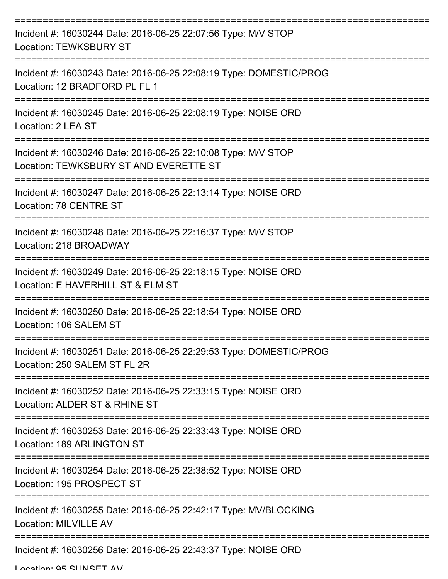| Incident #: 16030244 Date: 2016-06-25 22:07:56 Type: M/V STOP<br><b>Location: TEWKSBURY ST</b>             |
|------------------------------------------------------------------------------------------------------------|
| Incident #: 16030243 Date: 2016-06-25 22:08:19 Type: DOMESTIC/PROG<br>Location: 12 BRADFORD PL FL 1        |
| Incident #: 16030245 Date: 2016-06-25 22:08:19 Type: NOISE ORD<br>Location: 2 LEA ST                       |
| Incident #: 16030246 Date: 2016-06-25 22:10:08 Type: M/V STOP<br>Location: TEWKSBURY ST AND EVERETTE ST    |
| Incident #: 16030247 Date: 2016-06-25 22:13:14 Type: NOISE ORD<br>Location: 78 CENTRE ST                   |
| Incident #: 16030248 Date: 2016-06-25 22:16:37 Type: M/V STOP<br>Location: 218 BROADWAY<br>=============== |
| Incident #: 16030249 Date: 2016-06-25 22:18:15 Type: NOISE ORD<br>Location: E HAVERHILL ST & ELM ST        |
| Incident #: 16030250 Date: 2016-06-25 22:18:54 Type: NOISE ORD<br>Location: 106 SALEM ST                   |
| Incident #: 16030251 Date: 2016-06-25 22:29:53 Type: DOMESTIC/PROG<br>Location: 250 SALEM ST FL 2R         |
| Incident #: 16030252 Date: 2016-06-25 22:33:15 Type: NOISE ORD<br>Location: ALDER ST & RHINE ST            |
| Incident #: 16030253 Date: 2016-06-25 22:33:43 Type: NOISE ORD<br>Location: 189 ARLINGTON ST               |
| Incident #: 16030254 Date: 2016-06-25 22:38:52 Type: NOISE ORD<br>Location: 195 PROSPECT ST                |
| Incident #: 16030255 Date: 2016-06-25 22:42:17 Type: MV/BLOCKING<br><b>Location: MILVILLE AV</b>           |
| Incident #: 16030256 Date: 2016-06-25 22:43:37 Type: NOISE ORD                                             |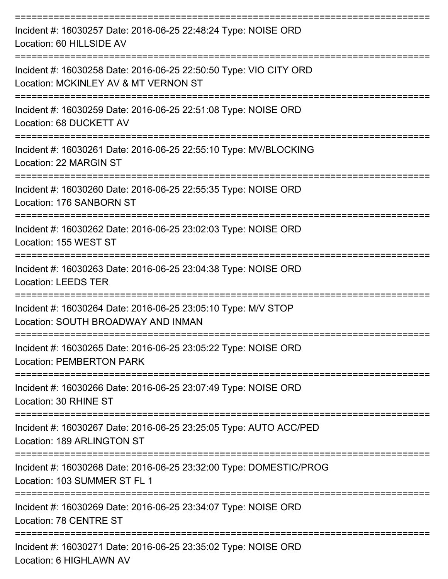| Incident #: 16030257 Date: 2016-06-25 22:48:24 Type: NOISE ORD<br>Location: 60 HILLSIDE AV                |
|-----------------------------------------------------------------------------------------------------------|
| Incident #: 16030258 Date: 2016-06-25 22:50:50 Type: VIO CITY ORD<br>Location: MCKINLEY AV & MT VERNON ST |
| Incident #: 16030259 Date: 2016-06-25 22:51:08 Type: NOISE ORD<br>Location: 68 DUCKETT AV                 |
| Incident #: 16030261 Date: 2016-06-25 22:55:10 Type: MV/BLOCKING<br>Location: 22 MARGIN ST                |
| Incident #: 16030260 Date: 2016-06-25 22:55:35 Type: NOISE ORD<br>Location: 176 SANBORN ST                |
| Incident #: 16030262 Date: 2016-06-25 23:02:03 Type: NOISE ORD<br>Location: 155 WEST ST                   |
| Incident #: 16030263 Date: 2016-06-25 23:04:38 Type: NOISE ORD<br><b>Location: LEEDS TER</b>              |
| Incident #: 16030264 Date: 2016-06-25 23:05:10 Type: M/V STOP<br>Location: SOUTH BROADWAY AND INMAN       |
| Incident #: 16030265 Date: 2016-06-25 23:05:22 Type: NOISE ORD<br><b>Location: PEMBERTON PARK</b>         |
| Incident #: 16030266 Date: 2016-06-25 23:07:49 Type: NOISE ORD<br>Location: 30 RHINE ST                   |
| Incident #: 16030267 Date: 2016-06-25 23:25:05 Type: AUTO ACC/PED<br>Location: 189 ARLINGTON ST           |
| Incident #: 16030268 Date: 2016-06-25 23:32:00 Type: DOMESTIC/PROG<br>Location: 103 SUMMER ST FL 1        |
| Incident #: 16030269 Date: 2016-06-25 23:34:07 Type: NOISE ORD<br>Location: 78 CENTRE ST                  |
| Incident #: 16030271 Date: 2016-06-25 23:35:02 Type: NOISE ORD<br>Location: 6 HIGHLAWN AV                 |